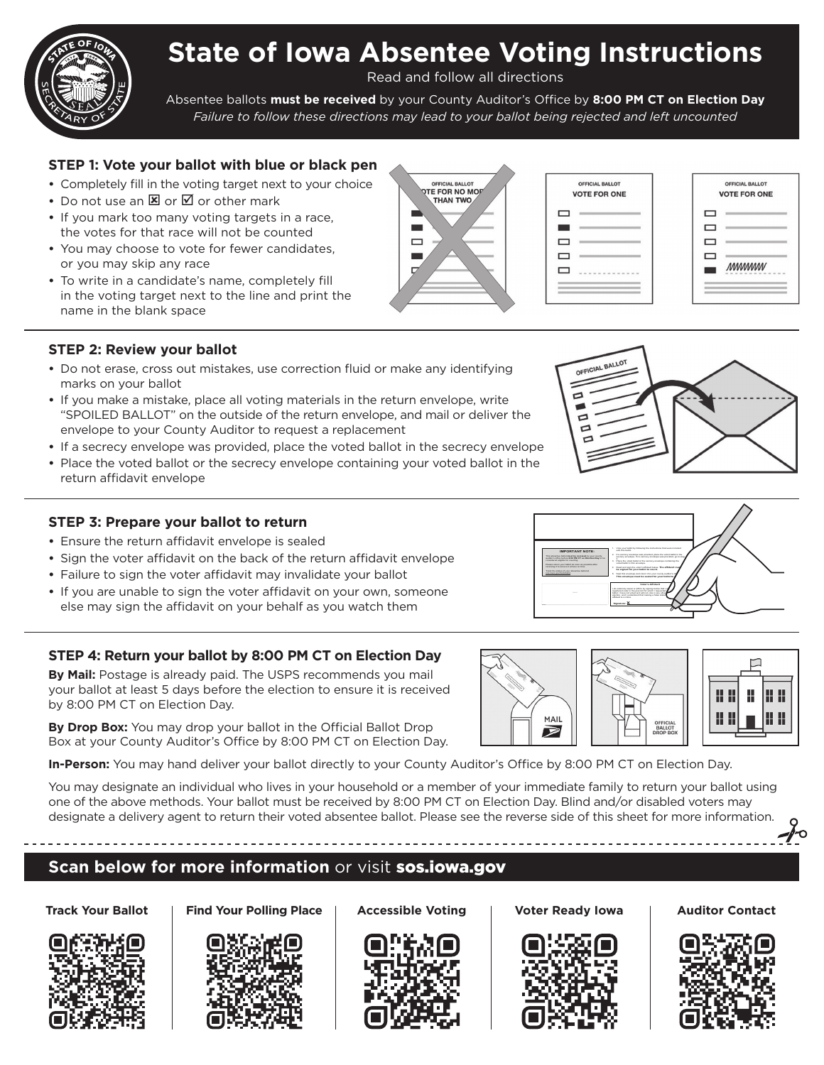

Read and follow all directions

Absentee ballots **must be received** by your County Auditor's Office by **8:00 PM CT on Election Day**  *Failure to follow these directions may lead to your ballot being rejected and left uncounted*

# **STEP 1: Vote your ballot with blue or black pen**

- **•** Completely fill in the voting target next to your choice
- Do not use an **E** or **I** or other mark
- **•** If you mark too many voting targets in a race, the votes for that race will not be counted
- **•** You may choose to vote for fewer candidates, or you may skip any race
- **•** To write in a candidate's name, completely fill in the voting target next to the line and print the name in the blank space

## **STEP 2: Review your ballot**

- **•** Do not erase, cross out mistakes, use correction fluid or make any identifying marks on your ballot
- **•** If you make a mistake, place all voting materials in the return envelope, write "SPOILED BALLOT" on the outside of the return envelope, and mail or deliver the envelope to your County Auditor to request a replacement
- **•** If a secrecy envelope was provided, place the voted ballot in the secrecy envelope
- **•** Place the voted ballot or the secrecy envelope containing your voted ballot in the return affidavit envelope

## **STEP 3: Prepare your ballot to return**

- **•** Ensure the return affidavit envelope is sealed
- **•** Sign the voter affidavit on the back of the return affidavit envelope
- **•** Failure to sign the voter affidavit may invalidate your ballot
- **•** If you are unable to sign the voter affidavit on your own, someone else may sign the affidavit on your behalf as you watch them

# **STEP 4: Return your ballot by 8:00 PM CT on Election Day**

**By Mail:** Postage is already paid. The USPS recommends you mail your ballot at least 5 days before the election to ensure it is received by 8:00 PM CT on Election Day.

**By Drop Box:** You may drop your ballot in the Official Ballot Drop Box at your County Auditor's Office by 8:00 PM CT on Election Day.

**In-Person:** You may hand deliver your ballot directly to your County Auditor's Office by 8:00 PM CT on Election Day.

You may designate an individual who lives in your household or a member of your immediate family to return your ballot using one of the above methods. Your ballot must be received by 8:00 PM CT on Election Day. Blind and/or disabled voters may designate a delivery agent to return their voted absentee ballot. Please see the reverse side of this sheet for more information.

# **Scan below for more information** or visit sos.iowa.gov







Track Your Ballot | Find Your Polling Place | Accessible Voting | Voter Ready Iowa | Auditor Contact